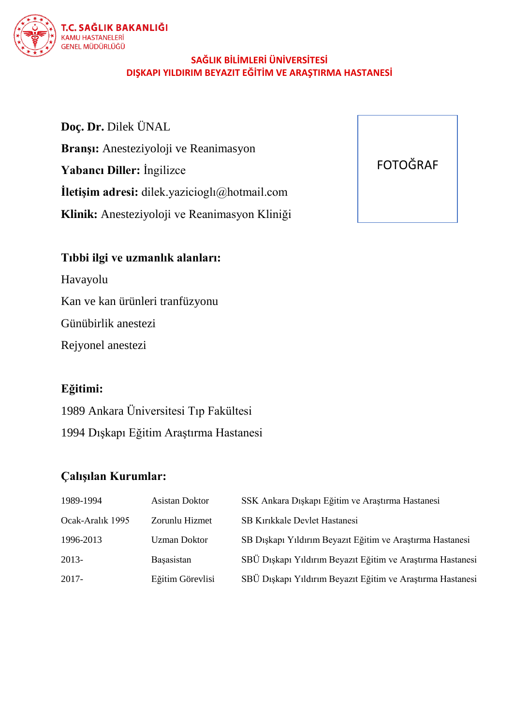

### **SAĞLIK BİLİMLERİ ÜNİVERSİTESİ DIŞKAPI YILDIRIM BEYAZIT EĞİTİM VE ARAŞTIRMA HASTANESİ**

**Doç. Dr.** Dilek ÜNAL **Branşı:** Anesteziyoloji ve Reanimasyon **Yabancı Diller:** İngilizce **İletişim adresi:** dilek.yazicioglı@hotmail.com **Klinik:** Anesteziyoloji ve Reanimasyon Kliniği

## **Tıbbi ilgi ve uzmanlık alanları:**

Havayolu

Kan ve kan ürünleri tranfüzyonu

Günübirlik anestezi

Rejyonel anestezi

### **Eğitimi:**

1989 Ankara Üniversitesi Tıp Fakültesi 1994 Dışkapı Eğitim Araştırma Hastanesi

## **Çalışılan Kurumlar:**

| 1989-1994        | Asistan Doktor      | SSK Ankara Diskapi Eğitim ve Araştırma Hastanesi           |
|------------------|---------------------|------------------------------------------------------------|
| Ocak-Aralık 1995 | Zorunlu Hizmet      | <b>SB Kirikkale Devlet Hastanesi</b>                       |
| 1996-2013        | <b>Uzman Doktor</b> | SB Dışkapı Yıldırım Beyazıt Eğitim ve Araştırma Hastanesi  |
| 2013-            | Basasistan          | SBÜ Dışkapı Yıldırım Beyazıt Eğitim ve Araştırma Hastanesi |
| 2017-            | Eğitim Görevlisi    | SBÜ Dışkapı Yıldırım Beyazıt Eğitim ve Araştırma Hastanesi |

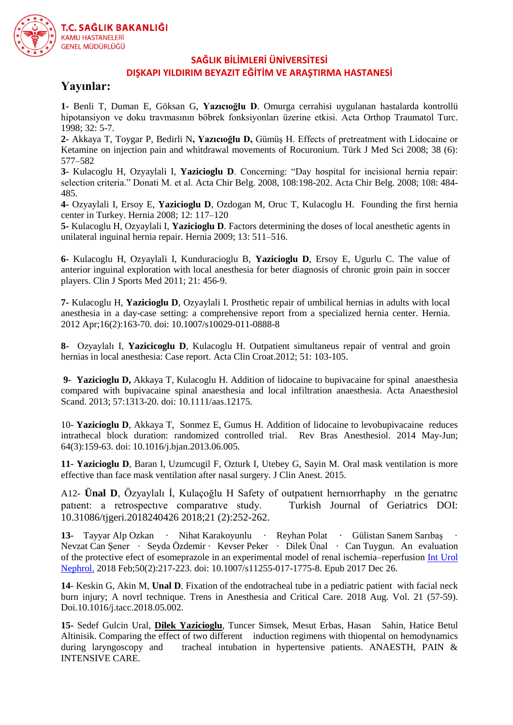

#### **SAĞLIK BİLİMLERİ ÜNİVERSİTESİ**

#### **DIŞKAPI YILDIRIM BEYAZIT EĞİTİM VE ARAŞTIRMA HASTANESİ**

#### **Yayınlar:**

**1-** Benli T, Duman E, Göksan G, **Yazıcıoğlu D**. Omurga cerrahisi uygulanan hastalarda kontrollü hipotansiyon ve doku travmasının böbrek fonksiyonları üzerine etkisi. Acta Orthop Traumatol Turc. 1998; 32: 5-7.

**2-** Akkaya T, Toygar P, Bedirli N**, Yazıcıoğlu D,** Gümüş H. Effects of pretreatment with Lidocaine or Ketamine on injection pain and whitdrawal movements of Rocuronium. Türk J Med Sci 2008; 38 (6): 577–582

**3-** Kulacoglu H, Ozyaylali I, **Yazicioglu D**. Concerning: "Day hospital for incisional hernia repair: selection criteria." Donati M. et al. Acta Chir Belg. 2008, 108:198-202. Acta Chir Belg. 2008; 108: 484- 485.

**4-** Ozyaylali I, Ersoy E, **Yazicioglu D**, Ozdogan M, Oruc T, Kulacoglu H. Founding the first hernia center in Turkey. Hernia 2008; 12: 117–120

**5-** Kulacoglu H, Ozyaylali I, **Yazicioglu D**. Factors determining the doses of local anesthetic agents in unilateral inguinal hernia repair. Hernia 2009; 13: 511–516.

**6-** Kulacoglu H, Ozyaylali I, Kunduracioglu B, **Yazicioglu D**, Ersoy E, Ugurlu C. The value of anterior inguinal exploration with local anesthesia for beter diagnosis of chronic groin pain in soccer players. Clin J Sports Med 2011; 21: 456-9.

**7-** Kulacoglu H, **Yazicioglu D**, Ozyaylali I. Prosthetic repair of umbilical hernias in adults with local anesthesia in a day-case setting: a comprehensive report from a specialized hernia center. Hernia. 2012 Apr;16(2):163-70. doi: 10.1007/s10029-011-0888-8

**8-** Ozyaylalı I, **Yazicicoglu D**, Kulacoglu H. Outpatient simultaneus repair of ventral and groin hernias in local anesthesia: Case report. Acta Clin Croat.2012; 51: 103-105.

**9- Yazicioglu D,** Akkaya T, Kulacoglu H. Addition of lidocaine [to bupivacaine for spinal anaesthesia](http://www.ncbi.nlm.nih.gov/pubmed/23980580)  [compared with bupivacaine spinal anaesthesia and local infiltration a](http://www.ncbi.nlm.nih.gov/pubmed/23980580)naesthesia. Acta Anaesthesiol Scand. 2013; 57:1313-20. doi: 10.1111/aas.12175.

10- **Yazicioglu D**, Akkaya T, Sonmez E, Gumus H. [Addition of lidocaine to levobupivacaine reduces](http://www.sciencedirect.com/science/article/pii/S0104001413001383)  [intrathecal block duration: randomized controlled trial.](http://www.sciencedirect.com/science/article/pii/S0104001413001383) Rev Bras Anesthesiol. 2014 May-Jun; 64(3):159-63. doi: 10.1016/j.bjan.2013.06.005.

**11- Yazicioglu D**, Baran I, Uzumcugil F, Ozturk I, Utebey G, Sayin M. Oral mask ventilation is more effective than face mask ventilation after nasal surgery. J Clin Anest. 2015.

A12- **Ünal D**, Özyaylalı İ, Kulaçoğlu H Safety of outpatıent hernıorrhaphy ın the gerıatrıc patıent: a retrospectıve comparatıve study. Turkish Journal of Geriatrics DOI: 10.31086/tjgeri.2018240426 2018;21 (2):252-262.

**13-** Tayyar Alp Ozkan · Nihat Karakoyunlu · Reyhan Polat · Gülistan Sanem Sarıbaş · Nevzat Can Şener · Seyda Özdemir · Kevser Peker · Dilek Ünal · Can Tuygun. An evaluation of the protective efect of esomeprazole in an experimental model of renal ischemia–reperfusion [Int Urol](https://www.ncbi.nlm.nih.gov/pubmed/?term=An+evaluation+of+the+protective+efect+of+esomeprazole+in+an+experimental+model+of+renal+ischemia%E2%80%93reperfusion)  [Nephrol.](https://www.ncbi.nlm.nih.gov/pubmed/?term=An+evaluation+of+the+protective+efect+of+esomeprazole+in+an+experimental+model+of+renal+ischemia%E2%80%93reperfusion) 2018 Feb;50(2):217-223. doi: 10.1007/s11255-017-1775-8. Epub 2017 Dec 26.

**14**- Keskin G, Akin M, **Unal D**. Fixation of the endotracheal tube in a pediatric patient with facial neck burn injury; A novrl technique. Trens in Anesthesia and Critical Care. 2018 Aug. Vol. 21 (57-59). Doi.10.1016/j.tacc.2018.05.002.

**15-** Sedef Gulcin Ural, **Dilek Yazicioglu**, Tuncer Simsek, Mesut Erbas, Hasan Sahin, Hatice Betul Altinisik. Comparing the effect of two different induction regimens with thiopental on hemodynamics during laryngoscopy and tracheal intubation in hypertensive patients. ANAESTH, PAIN & INTENSIVE CARE.